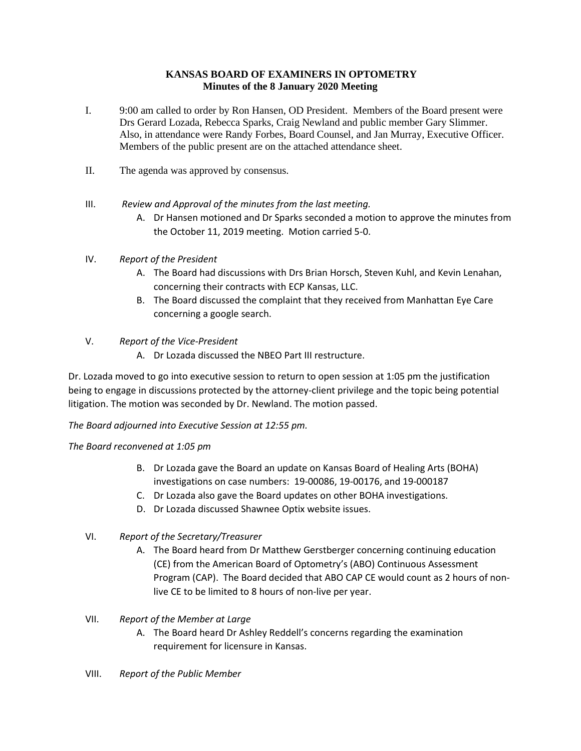# **KANSAS BOARD OF EXAMINERS IN OPTOMETRY Minutes of the 8 January 2020 Meeting**

- I. 9:00 am called to order by Ron Hansen, OD President. Members of the Board present were Drs Gerard Lozada, Rebecca Sparks, Craig Newland and public member Gary Slimmer. Also, in attendance were Randy Forbes, Board Counsel, and Jan Murray, Executive Officer. Members of the public present are on the attached attendance sheet.
- II. The agenda was approved by consensus.
- III. *Review and Approval of the minutes from the last meeting.*
	- A. Dr Hansen motioned and Dr Sparks seconded a motion to approve the minutes from the October 11, 2019 meeting. Motion carried 5-0.

# IV. *Report of the President*

- A. The Board had discussions with Drs Brian Horsch, Steven Kuhl, and Kevin Lenahan, concerning their contracts with ECP Kansas, LLC.
- B. The Board discussed the complaint that they received from Manhattan Eye Care concerning a google search.

# V. *Report of the Vice-President*

A. Dr Lozada discussed the NBEO Part III restructure.

Dr. Lozada moved to go into executive session to return to open session at 1:05 pm the justification being to engage in discussions protected by the attorney-client privilege and the topic being potential litigation. The motion was seconded by Dr. Newland. The motion passed.

*The Board adjourned into Executive Session at 12:55 pm.*

#### *The Board reconvened at 1:05 pm*

- B. Dr Lozada gave the Board an update on Kansas Board of Healing Arts (BOHA) investigations on case numbers: 19-00086, 19-00176, and 19-000187
- C. Dr Lozada also gave the Board updates on other BOHA investigations.
- D. Dr Lozada discussed Shawnee Optix website issues.
- VI. *Report of the Secretary/Treasurer*
	- A. The Board heard from Dr Matthew Gerstberger concerning continuing education (CE) from the American Board of Optometry's (ABO) Continuous Assessment Program (CAP). The Board decided that ABO CAP CE would count as 2 hours of nonlive CE to be limited to 8 hours of non-live per year.

#### VII. *Report of the Member at Large*

- A. The Board heard Dr Ashley Reddell's concerns regarding the examination requirement for licensure in Kansas.
- VIII. *Report of the Public Member*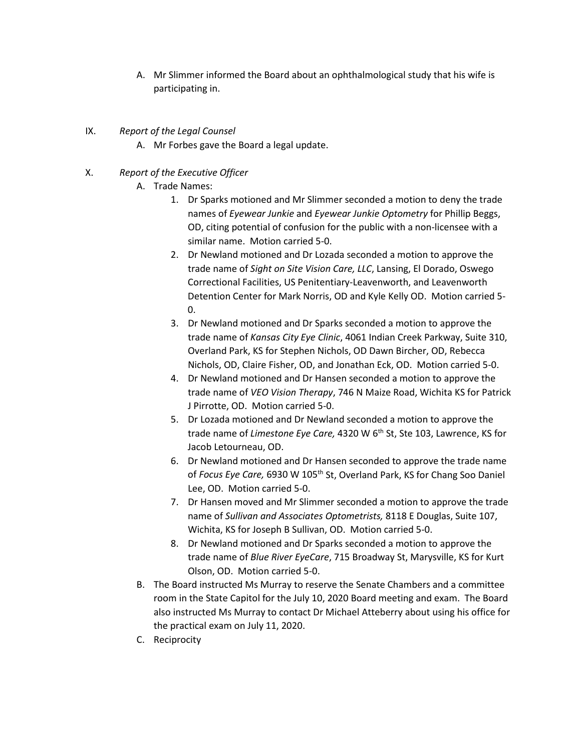A. Mr Slimmer informed the Board about an ophthalmological study that his wife is participating in.

# IX. *Report of the Legal Counsel*

A. Mr Forbes gave the Board a legal update.

# X. *Report of the Executive Officer*

- A. Trade Names:
	- 1. Dr Sparks motioned and Mr Slimmer seconded a motion to deny the trade names of *Eyewear Junkie* and *Eyewear Junkie Optometry* for Phillip Beggs, OD, citing potential of confusion for the public with a non-licensee with a similar name. Motion carried 5-0.
	- 2. Dr Newland motioned and Dr Lozada seconded a motion to approve the trade name of *Sight on Site Vision Care, LLC*, Lansing, El Dorado, Oswego Correctional Facilities, US Penitentiary-Leavenworth, and Leavenworth Detention Center for Mark Norris, OD and Kyle Kelly OD. Motion carried 5- 0.
	- 3. Dr Newland motioned and Dr Sparks seconded a motion to approve the trade name of *Kansas City Eye Clinic*, 4061 Indian Creek Parkway, Suite 310, Overland Park, KS for Stephen Nichols, OD Dawn Bircher, OD, Rebecca Nichols, OD, Claire Fisher, OD, and Jonathan Eck, OD. Motion carried 5-0.
	- 4. Dr Newland motioned and Dr Hansen seconded a motion to approve the trade name of *VEO Vision Therapy*, 746 N Maize Road, Wichita KS for Patrick J Pirrotte, OD. Motion carried 5-0.
	- 5. Dr Lozada motioned and Dr Newland seconded a motion to approve the trade name of *Limestone Eye Care,* 4320 W 6<sup>th</sup> St, Ste 103, Lawrence, KS for Jacob Letourneau, OD.
	- 6. Dr Newland motioned and Dr Hansen seconded to approve the trade name of *Focus Eye Care,* 6930 W 105th St, Overland Park, KS for Chang Soo Daniel Lee, OD. Motion carried 5-0.
	- 7. Dr Hansen moved and Mr Slimmer seconded a motion to approve the trade name of *Sullivan and Associates Optometrists,* 8118 E Douglas, Suite 107, Wichita, KS for Joseph B Sullivan, OD. Motion carried 5-0.
	- 8. Dr Newland motioned and Dr Sparks seconded a motion to approve the trade name of *Blue River EyeCare*, 715 Broadway St, Marysville, KS for Kurt Olson, OD. Motion carried 5-0.
- B. The Board instructed Ms Murray to reserve the Senate Chambers and a committee room in the State Capitol for the July 10, 2020 Board meeting and exam. The Board also instructed Ms Murray to contact Dr Michael Atteberry about using his office for the practical exam on July 11, 2020.
- C. Reciprocity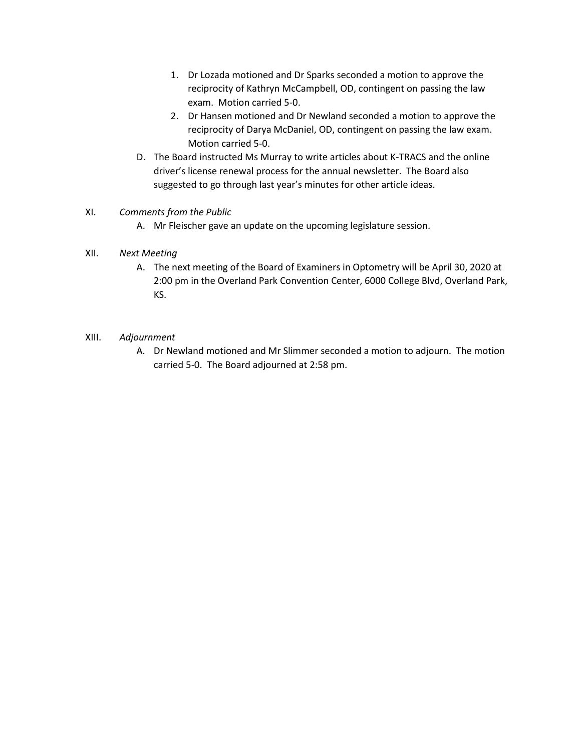- 1. Dr Lozada motioned and Dr Sparks seconded a motion to approve the reciprocity of Kathryn McCampbell, OD, contingent on passing the law exam. Motion carried 5-0.
- 2. Dr Hansen motioned and Dr Newland seconded a motion to approve the reciprocity of Darya McDaniel, OD, contingent on passing the law exam. Motion carried 5-0.
- D. The Board instructed Ms Murray to write articles about K-TRACS and the online driver's license renewal process for the annual newsletter. The Board also suggested to go through last year's minutes for other article ideas.

# XI. *Comments from the Public*

A. Mr Fleischer gave an update on the upcoming legislature session.

# XII. *Next Meeting*

A. The next meeting of the Board of Examiners in Optometry will be April 30, 2020 at 2:00 pm in the Overland Park Convention Center, 6000 College Blvd, Overland Park, KS.

# XIII. *Adjournment*

A. Dr Newland motioned and Mr Slimmer seconded a motion to adjourn. The motion carried 5-0. The Board adjourned at 2:58 pm.